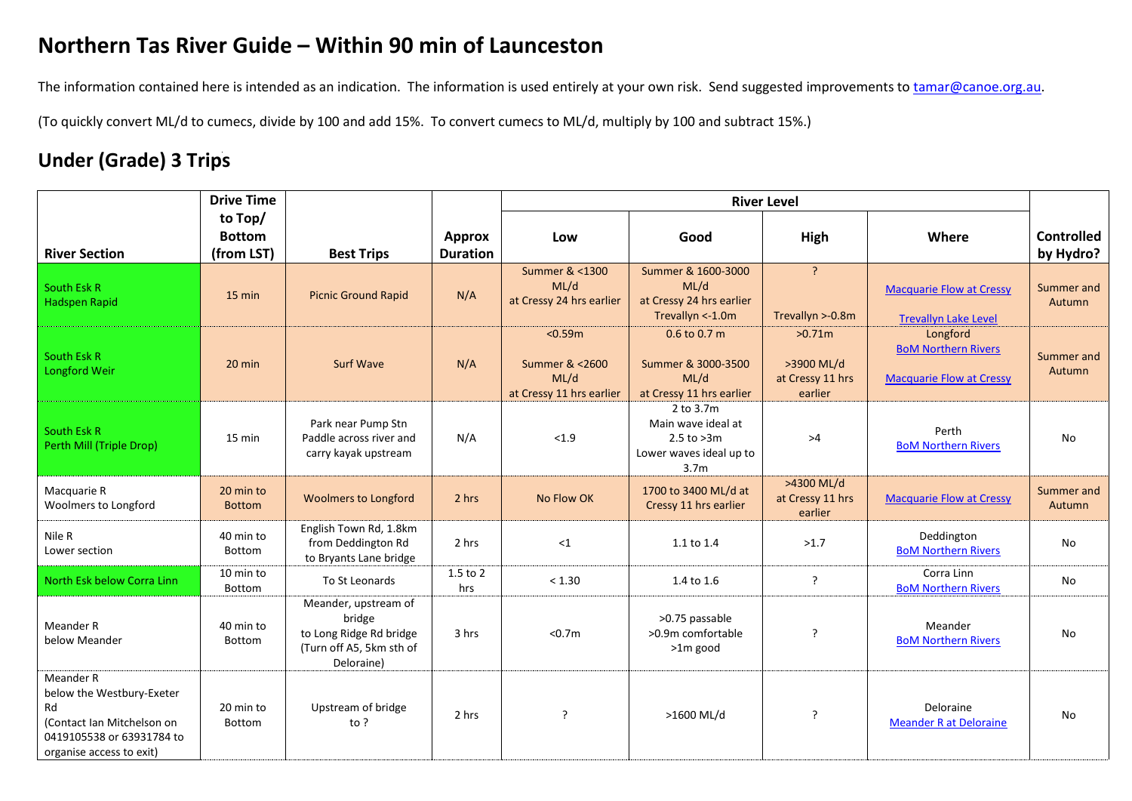## **Northern Tas River Guide – Within 90 min of Launceston**

The information contained here is intended as an indication. The information is used entirely at your own risk. Send suggested improvements to [tamar@canoe.org.au.](mailto:tamar@canoe.org.au)

(To quickly convert ML/d to cumecs, divide by 100 and add 15%. To convert cumecs to ML/d, multiply by 100 and subtract 15%.)

## **Under (Grade) 3 Trips**

|                                                                                                                                     | <b>Drive Time</b>                      |                                                                                                     |                                  | <b>River Level</b>                                            |                                                                                                  |                                                     |                                                                           |                                |
|-------------------------------------------------------------------------------------------------------------------------------------|----------------------------------------|-----------------------------------------------------------------------------------------------------|----------------------------------|---------------------------------------------------------------|--------------------------------------------------------------------------------------------------|-----------------------------------------------------|---------------------------------------------------------------------------|--------------------------------|
| <b>River Section</b>                                                                                                                | to Top/<br><b>Bottom</b><br>(from LST) | <b>Best Trips</b>                                                                                   | <b>Approx</b><br><b>Duration</b> | Low                                                           | Good                                                                                             | High                                                | Where                                                                     | <b>Controlled</b><br>by Hydro? |
| <b>South Esk R</b><br>Hadspen Rapid                                                                                                 | $15 \text{ min}$                       | <b>Picnic Ground Rapid</b>                                                                          | N/A                              | Summer & <1300<br>ML/d<br>at Cressy 24 hrs earlier            | Summer & 1600-3000<br>ML/d<br>at Cressy 24 hrs earlier<br>Trevallyn <- 1.0m                      | $\overline{?}$<br>Trevallyn >-0.8m                  | <b>Macquarie Flow at Cressy</b><br><b>Trevallyn Lake Level</b>            | Summer and<br>Autumn           |
| <b>South Esk R</b><br>Longford Weir                                                                                                 | $20$ min                               | <b>Surf Wave</b>                                                                                    | N/A                              | < 0.59m<br>Summer & <2600<br>ML/d<br>at Cressy 11 hrs earlier | $0.6$ to $0.7$ m<br>Summer & 3000-3500<br>ML/d<br>at Cressy 11 hrs earlier                       | >0.71m<br>>3900 ML/d<br>at Cressy 11 hrs<br>earlier | Longford<br><b>BoM Northern Rivers</b><br><b>Macquarie Flow at Cressy</b> | Summer and<br>Autumn           |
| South Esk R<br>Perth Mill (Triple Drop)                                                                                             | 15 min                                 | Park near Pump Stn<br>Paddle across river and<br>carry kayak upstream                               | N/A                              | < 1.9                                                         | 2 to 3.7m<br>Main wave ideal at<br>$2.5$ to $>3m$<br>Lower waves ideal up to<br>3.7 <sub>m</sub> | >4                                                  | Perth<br><b>BoM Northern Rivers</b>                                       | No                             |
| Macquarie R<br>Woolmers to Longford                                                                                                 | 20 min to<br><b>Bottom</b>             | <b>Woolmers to Longford</b>                                                                         | 2 hrs                            | No Flow OK                                                    | 1700 to 3400 ML/d at<br>Cressy 11 hrs earlier                                                    | >4300 ML/d<br>at Cressy 11 hrs<br>earlier           | <b>Macquarie Flow at Cressy</b>                                           | Summer and<br>Autumn           |
| Nile R<br>Lower section                                                                                                             | 40 min to<br>Bottom                    | English Town Rd, 1.8km<br>from Deddington Rd<br>to Bryants Lane bridge                              | 2 hrs                            | $\leq$ 1                                                      | 1.1 to 1.4                                                                                       | >1.7                                                | Deddington<br><b>BoM Northern Rivers</b>                                  | No                             |
| North Esk below Corra Linn                                                                                                          | 10 min to<br>Bottom                    | To St Leonards                                                                                      | 1.5 to 2<br>hrs                  | < 1.30                                                        | 1.4 to 1.6                                                                                       | ?                                                   | Corra Linn<br><b>BoM Northern Rivers</b>                                  | No                             |
| Meander R<br>below Meander                                                                                                          | 40 min to<br>Bottom                    | Meander, upstream of<br>bridge<br>to Long Ridge Rd bridge<br>(Turn off A5, 5km sth of<br>Deloraine) | 3 hrs                            | < 0.7m                                                        | >0.75 passable<br>>0.9m comfortable<br>>1m good                                                  | ?                                                   | Meander<br><b>BoM Northern Rivers</b>                                     | No                             |
| Meander R<br>below the Westbury-Exeter<br>Rd<br>(Contact Ian Mitchelson on<br>0419105538 or 63931784 to<br>organise access to exit) | 20 min to<br>Bottom                    | Upstream of bridge<br>to $?$                                                                        | 2 hrs                            | $\overline{?}$                                                | >1600 ML/d                                                                                       | ?                                                   | Deloraine<br><b>Meander R at Deloraine</b>                                | No                             |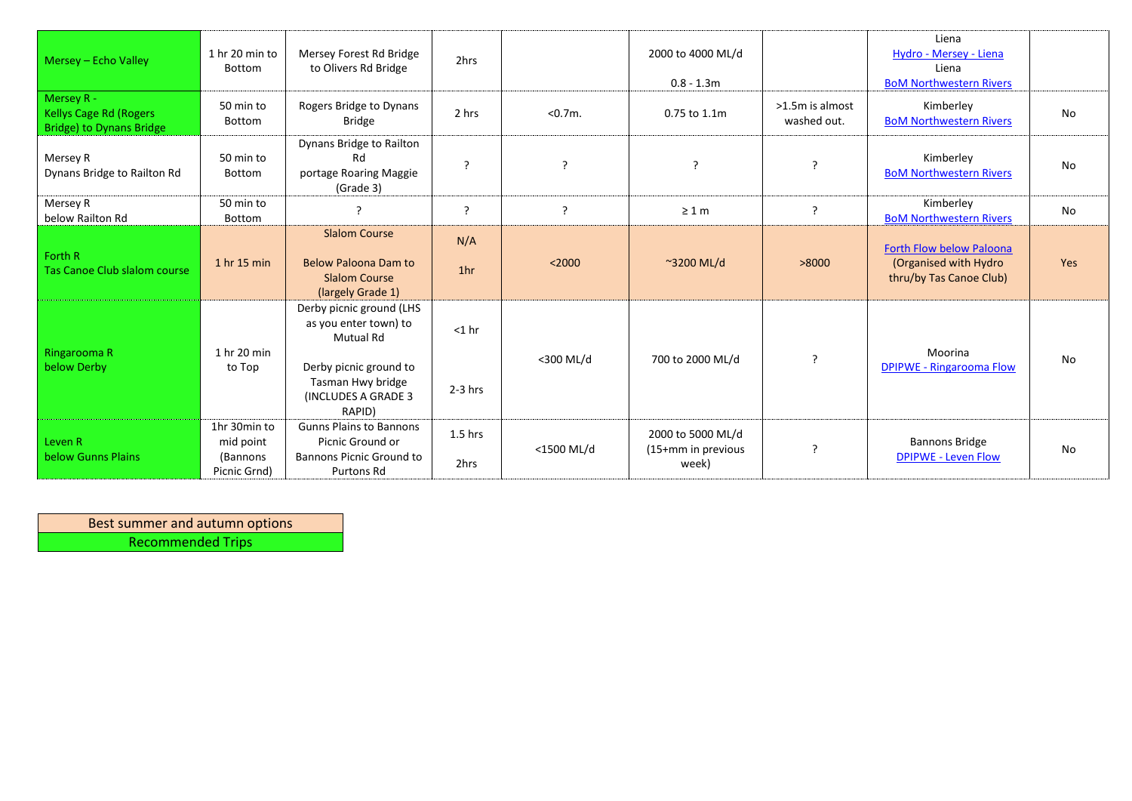| Mersey - Echo Valley                                                           | 1 hr 20 min to<br><b>Bottom</b>                       | Mersey Forest Rd Bridge<br>to Olivers Rd Bridge                                                                                                        | 2hrs                   |            | 2000 to 4000 ML/d<br>$0.8 - 1.3m$                |                                | Liena<br>Hydro - Mersey - Liena<br>Liena<br><b>BoM Northwestern Rivers</b>           |           |
|--------------------------------------------------------------------------------|-------------------------------------------------------|--------------------------------------------------------------------------------------------------------------------------------------------------------|------------------------|------------|--------------------------------------------------|--------------------------------|--------------------------------------------------------------------------------------|-----------|
| Mersey R -<br><b>Kellys Cage Rd (Rogers</b><br><b>Bridge) to Dynans Bridge</b> | 50 min to<br>Bottom                                   | Rogers Bridge to Dynans<br>Bridge                                                                                                                      | 2 hrs                  | < 0.7m.    | 0.75 to 1.1m                                     | >1.5m is almost<br>washed out. | Kimberley<br><b>BoM Northwestern Rivers</b>                                          | <b>No</b> |
| Mersey R<br>Dynans Bridge to Railton Rd                                        | 50 min to<br>Bottom                                   | Dynans Bridge to Railton<br>Rd<br>portage Roaring Maggie<br>(Grade 3)                                                                                  | ς                      | P          | $\overline{\phantom{a}}$                         | $\overline{\mathbf{r}}$        | Kimberley<br><b>BoM Northwestern Rivers</b>                                          | No        |
| Mersey R<br>below Railton Rd                                                   | 50 min to<br>Bottom                                   | ?                                                                                                                                                      | ς                      | ς          | $\geq 1$ m                                       | ?                              | Kimberley<br><b>BoM Northwestern Rivers</b>                                          | No        |
| Forth R<br>Tas Canoe Club slalom course                                        | 1 hr 15 min                                           | <b>Slalom Course</b><br><b>Below Paloona Dam to</b><br><b>Slalom Course</b><br>(largely Grade 1)                                                       | N/A<br>1 <sub>hr</sub> | < 2000     | $\sim$ 3200 ML/d                                 | >8000                          | <b>Forth Flow below Paloona</b><br>(Organised with Hydro)<br>thru/by Tas Canoe Club) | Yes       |
| Ringarooma R<br>below Derby                                                    | 1 hr 20 min<br>to Top                                 | Derby picnic ground (LHS<br>as you enter town) to<br><b>Mutual Rd</b><br>Derby picnic ground to<br>Tasman Hwy bridge<br>(INCLUDES A GRADE 3)<br>RAPID) | $<$ 1 hr<br>$2-3$ hrs  | <300 ML/d  | 700 to 2000 ML/d                                 | $\cdot$                        | Moorina<br><b>DPIPWE - Ringarooma Flow</b>                                           | No        |
| Leven R<br>below Gunns Plains                                                  | 1hr 30min to<br>mid point<br>(Bannons<br>Picnic Grnd) | <b>Gunns Plains to Bannons</b><br>Picnic Ground or<br><b>Bannons Picnic Ground to</b><br>Purtons Rd                                                    | $1.5$ hrs<br>2hrs      | <1500 ML/d | 2000 to 5000 ML/d<br>(15+mm in previous<br>week) | ?                              | <b>Bannons Bridge</b><br><b>DPIPWE - Leven Flow</b>                                  | No        |

Best summer and autumn options Recommended Trips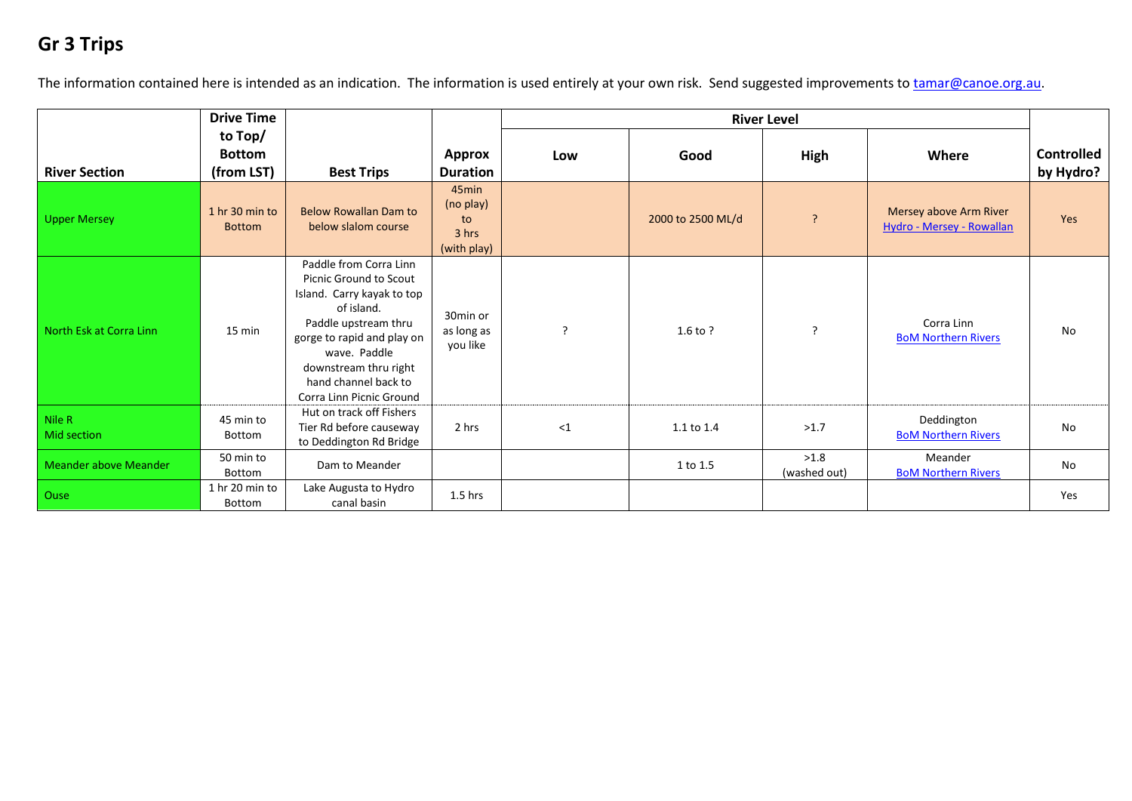## **Gr 3 Trips**

The information contained here is intended as an indication. The information is used entirely at your own risk. Send suggested improvements to [tamar@canoe.org.au.](mailto:tamar@canoe.org.au)

|                              | <b>Drive Time</b>                      |                                                                                                                                                                                                                                                        |                                                              | <b>River Level</b> |                   |                      |                                                     |                                |
|------------------------------|----------------------------------------|--------------------------------------------------------------------------------------------------------------------------------------------------------------------------------------------------------------------------------------------------------|--------------------------------------------------------------|--------------------|-------------------|----------------------|-----------------------------------------------------|--------------------------------|
| <b>River Section</b>         | to Top/<br><b>Bottom</b><br>(from LST) | <b>Best Trips</b>                                                                                                                                                                                                                                      | <b>Approx</b><br><b>Duration</b>                             | Low                | Good              | High                 | Where                                               | <b>Controlled</b><br>by Hydro? |
| <b>Upper Mersey</b>          | 1 hr 30 min to<br><b>Bottom</b>        | <b>Below Rowallan Dam to</b><br>below slalom course                                                                                                                                                                                                    | 45 <sub>min</sub><br>(no play)<br>to<br>3 hrs<br>(with play) |                    | 2000 to 2500 ML/d | ?                    | Mersey above Arm River<br>Hydro - Mersey - Rowallan | <b>Yes</b>                     |
| North Esk at Corra Linn      | $15 \text{ min}$                       | Paddle from Corra Linn<br><b>Picnic Ground to Scout</b><br>Island. Carry kayak to top<br>of island.<br>Paddle upstream thru<br>gorge to rapid and play on<br>wave. Paddle<br>downstream thru right<br>hand channel back to<br>Corra Linn Picnic Ground | 30min or<br>as long as<br>you like                           | $\mathcal{L}$      | $1.6$ to ?        | $\cdot$              | Corra Linn<br><b>BoM Northern Rivers</b>            | No                             |
| Nile R<br><b>Mid section</b> | 45 min to<br>Bottom                    | Hut on track off Fishers<br>Tier Rd before causeway<br>to Deddington Rd Bridge                                                                                                                                                                         | 2 hrs                                                        | $\leq$ 1           | 1.1 to 1.4        | >1.7                 | Deddington<br><b>BoM Northern Rivers</b>            | No                             |
| <b>Meander above Meander</b> | 50 min to<br>Bottom                    | Dam to Meander                                                                                                                                                                                                                                         |                                                              |                    | 1 to 1.5          | >1.8<br>(washed out) | Meander<br><b>BoM Northern Rivers</b>               | No                             |
| Ouse                         | 1 hr 20 min to<br>Bottom               | Lake Augusta to Hydro<br>canal basin                                                                                                                                                                                                                   | $1.5$ hrs                                                    |                    |                   |                      |                                                     | Yes                            |